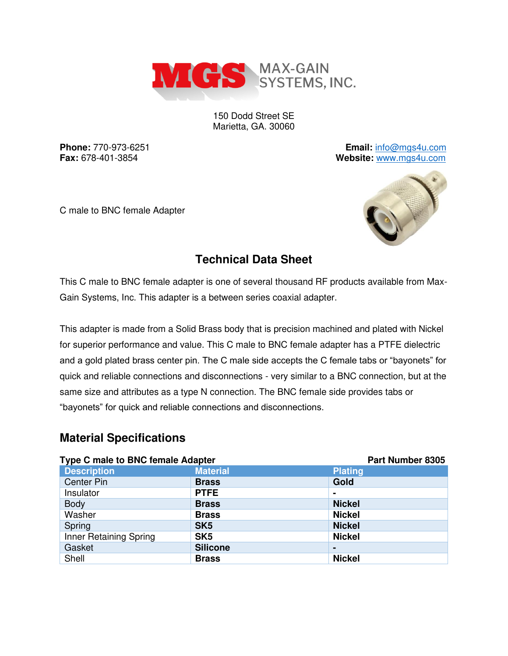

150 Dodd Street SE Marietta, GA. 30060

**Phone:** 770-973-6251 **Email:** [info@mgs4u.com](mailto:info@mgs4u.com) **Fax:** 678-401-3854 **Website:** [www.mgs4u.com](http://www.mgs4u.com/)

C male to BNC female Adapter



# **Technical Data Sheet**

This C male to BNC female adapter is one of several thousand RF products available from Max-Gain Systems, Inc. This adapter is a between series coaxial adapter.

This adapter is made from a Solid Brass body that is precision machined and plated with Nickel for superior performance and value. This C male to BNC female adapter has a PTFE dielectric and a gold plated brass center pin. The C male side accepts the C female tabs or "bayonets" for quick and reliable connections and disconnections - very similar to a BNC connection, but at the same size and attributes as a type N connection. The BNC female side provides tabs or "bayonets" for quick and reliable connections and disconnections.

#### **Material Specifications**

| <b>Type C male to BNC female Adapter</b> |                 | <b>Part Number 8305</b> |
|------------------------------------------|-----------------|-------------------------|
| <b>Description</b>                       | <b>Material</b> | <b>Plating</b>          |
| <b>Center Pin</b>                        | <b>Brass</b>    | Gold                    |
| Insulator                                | <b>PTFE</b>     | $\blacksquare$          |
| <b>Body</b>                              | <b>Brass</b>    | <b>Nickel</b>           |
| Washer                                   | <b>Brass</b>    | <b>Nickel</b>           |
| Spring                                   | SK <sub>5</sub> | <b>Nickel</b>           |
| Inner Retaining Spring                   | SK <sub>5</sub> | <b>Nickel</b>           |
| Gasket                                   | <b>Silicone</b> |                         |
| Shell                                    | <b>Brass</b>    | <b>Nickel</b>           |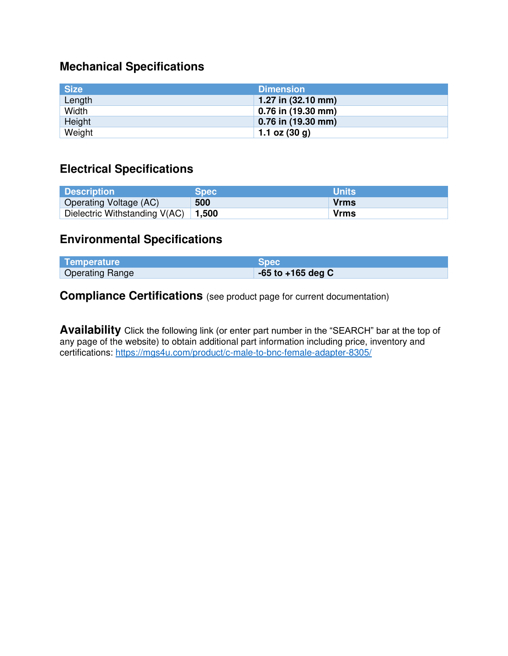### **Mechanical Specifications**

| <b>Size</b> | <b>Dimension</b>             |
|-------------|------------------------------|
| Length      | 1.27 in $(32.10 \text{ mm})$ |
| Width       | $0.76$ in (19.30 mm)         |
| Height      | 0.76 in (19.30 mm)           |
| Weight      | 1.1 oz $(30 g)$              |

# **Electrical Specifications**

| <b>Description</b>                      | <b>Spec</b> | <b>Units</b> |
|-----------------------------------------|-------------|--------------|
| Operating Voltage (AC)                  | 500         | Vrms         |
| Dielectric Withstanding $V(AC)$   1,500 |             | <b>Vrms</b>  |

### **Environmental Specifications**

| Temperature            | <b>Spec</b>           |
|------------------------|-----------------------|
| <b>Operating Range</b> | $-65$ to $+165$ deg C |

**Compliance Certifications** (see product page for current documentation)

**Availability** Click the following link (or enter part number in the "SEARCH" bar at the top of any page of the website) to obtain additional part information including price, inventory and certifications:<https://mgs4u.com/product/c-male-to-bnc-female-adapter-8305/>